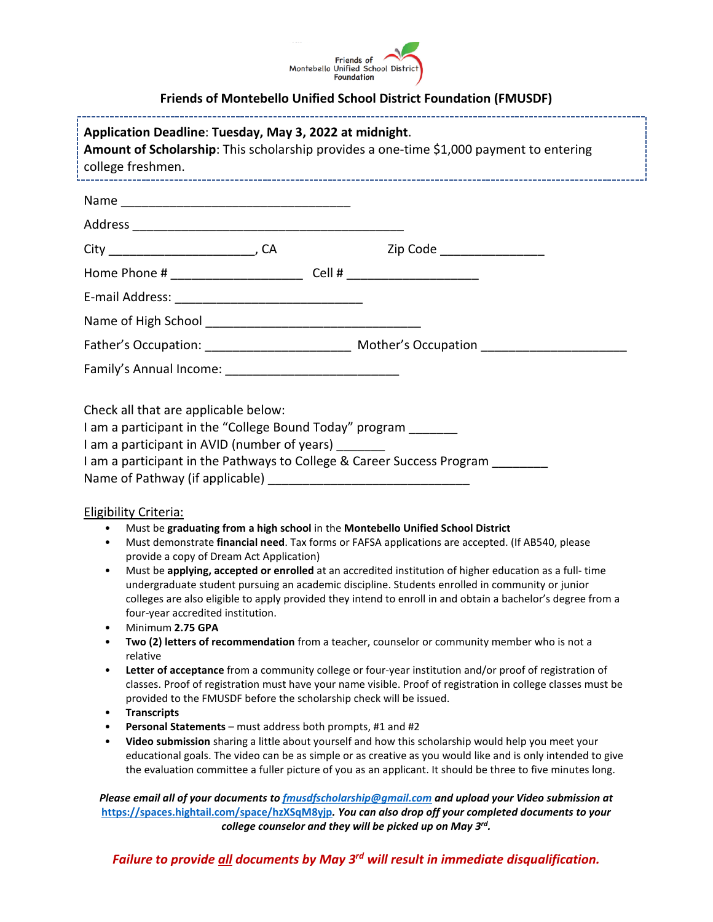

# **Friends of Montebello Unified School District Foundation (FMUSDF)**

| Application Deadline: Tuesday, May 3, 2022 at midnight.<br>Amount of Scholarship: This scholarship provides a one-time \$1,000 payment to entering<br>college freshmen.                                                                                                                                                                                                                                                                                                                                                                                                                                                                                                                                                                                                                                                                                                                                                                                                                                                                                                                                                                                                                                                                                                                                                   |  |  |
|---------------------------------------------------------------------------------------------------------------------------------------------------------------------------------------------------------------------------------------------------------------------------------------------------------------------------------------------------------------------------------------------------------------------------------------------------------------------------------------------------------------------------------------------------------------------------------------------------------------------------------------------------------------------------------------------------------------------------------------------------------------------------------------------------------------------------------------------------------------------------------------------------------------------------------------------------------------------------------------------------------------------------------------------------------------------------------------------------------------------------------------------------------------------------------------------------------------------------------------------------------------------------------------------------------------------------|--|--|
|                                                                                                                                                                                                                                                                                                                                                                                                                                                                                                                                                                                                                                                                                                                                                                                                                                                                                                                                                                                                                                                                                                                                                                                                                                                                                                                           |  |  |
|                                                                                                                                                                                                                                                                                                                                                                                                                                                                                                                                                                                                                                                                                                                                                                                                                                                                                                                                                                                                                                                                                                                                                                                                                                                                                                                           |  |  |
| Zip Code __________________                                                                                                                                                                                                                                                                                                                                                                                                                                                                                                                                                                                                                                                                                                                                                                                                                                                                                                                                                                                                                                                                                                                                                                                                                                                                                               |  |  |
|                                                                                                                                                                                                                                                                                                                                                                                                                                                                                                                                                                                                                                                                                                                                                                                                                                                                                                                                                                                                                                                                                                                                                                                                                                                                                                                           |  |  |
|                                                                                                                                                                                                                                                                                                                                                                                                                                                                                                                                                                                                                                                                                                                                                                                                                                                                                                                                                                                                                                                                                                                                                                                                                                                                                                                           |  |  |
|                                                                                                                                                                                                                                                                                                                                                                                                                                                                                                                                                                                                                                                                                                                                                                                                                                                                                                                                                                                                                                                                                                                                                                                                                                                                                                                           |  |  |
|                                                                                                                                                                                                                                                                                                                                                                                                                                                                                                                                                                                                                                                                                                                                                                                                                                                                                                                                                                                                                                                                                                                                                                                                                                                                                                                           |  |  |
|                                                                                                                                                                                                                                                                                                                                                                                                                                                                                                                                                                                                                                                                                                                                                                                                                                                                                                                                                                                                                                                                                                                                                                                                                                                                                                                           |  |  |
| I am a participant in the "College Bound Today" program<br>I am a participant in AVID (number of years)<br>I am a participant in the Pathways to College & Career Success Program _________                                                                                                                                                                                                                                                                                                                                                                                                                                                                                                                                                                                                                                                                                                                                                                                                                                                                                                                                                                                                                                                                                                                               |  |  |
| <b>Eligibility Criteria:</b><br>Must be graduating from a high school in the Montebello Unified School District<br>Must demonstrate financial need. Tax forms or FAFSA applications are accepted. (If AB540, please<br>$\bullet$<br>provide a copy of Dream Act Application)<br>Must be applying, accepted or enrolled at an accredited institution of higher education as a full-time<br>undergraduate student pursuing an academic discipline. Students enrolled in community or junior<br>colleges are also eligible to apply provided they intend to enroll in and obtain a bachelor's degree from a<br>four-year accredited institution.<br>Minimum 2.75 GPA<br>Two (2) letters of recommendation from a teacher, counselor or community member who is not a<br>٠<br>relative<br>Letter of acceptance from a community college or four-year institution and/or proof of registration of<br>٠<br>classes. Proof of registration must have your name visible. Proof of registration in college classes must be<br>provided to the FMUSDF before the scholarship check will be issued.<br><b>Transcripts</b><br>$\bullet$<br>Personal Statements - must address both prompts, #1 and #2<br>$\bullet$<br>Video submission sharing a little about yourself and how this scholarship would help you meet your<br>$\bullet$ |  |  |
| educational goals. The video can be as simple or as creative as you would like and is only intended to give<br>the evaluation committee a fuller picture of you as an applicant. It should be three to five minutes long.                                                                                                                                                                                                                                                                                                                                                                                                                                                                                                                                                                                                                                                                                                                                                                                                                                                                                                                                                                                                                                                                                                 |  |  |
| Please email all of your documents to <i>fmusdfscholarship@gmail.com</i> and upload your Video submission at<br>https://spaces.hightail.com/space/hzXSqM8yjp. You can also drop off your completed documents to your<br>college counselor and they will be picked up on May 3rd.                                                                                                                                                                                                                                                                                                                                                                                                                                                                                                                                                                                                                                                                                                                                                                                                                                                                                                                                                                                                                                          |  |  |

*Failure to provide all documents by May 3rd will result in immediate disqualification.*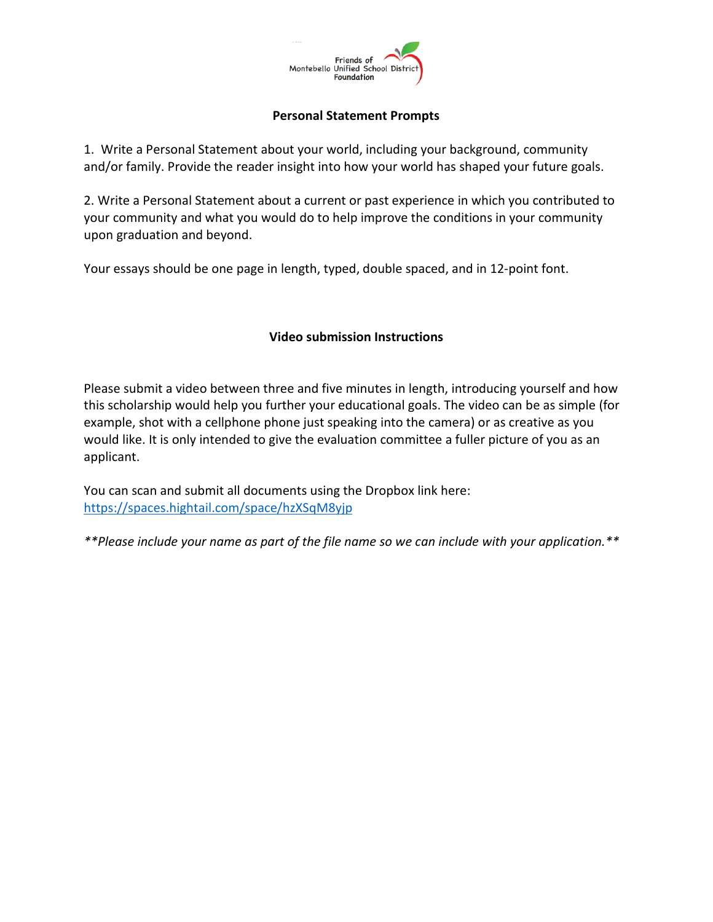

#### **Personal Statement Prompts**

1. Write a Personal Statement about your world, including your background, community and/or family. Provide the reader insight into how your world has shaped your future goals.

2. Write a Personal Statement about a current or past experience in which you contributed to your community and what you would do to help improve the conditions in your community upon graduation and beyond.

Your essays should be one page in length, typed, double spaced, and in 12-point font.

### **Video submission Instructions**

Please submit a video between three and five minutes in length, introducing yourself and how this scholarship would help you further your educational goals. The video can be as simple (for example, shot with a cellphone phone just speaking into the camera) or as creative as you would like. It is only intended to give the evaluation committee a fuller picture of you as an applicant.

You can scan and submit all documents using the Dropbox link here: <https://spaces.hightail.com/space/hzXSqM8yjp>

*\*\*Please include your name as part of the file name so we can include with your application.\*\**